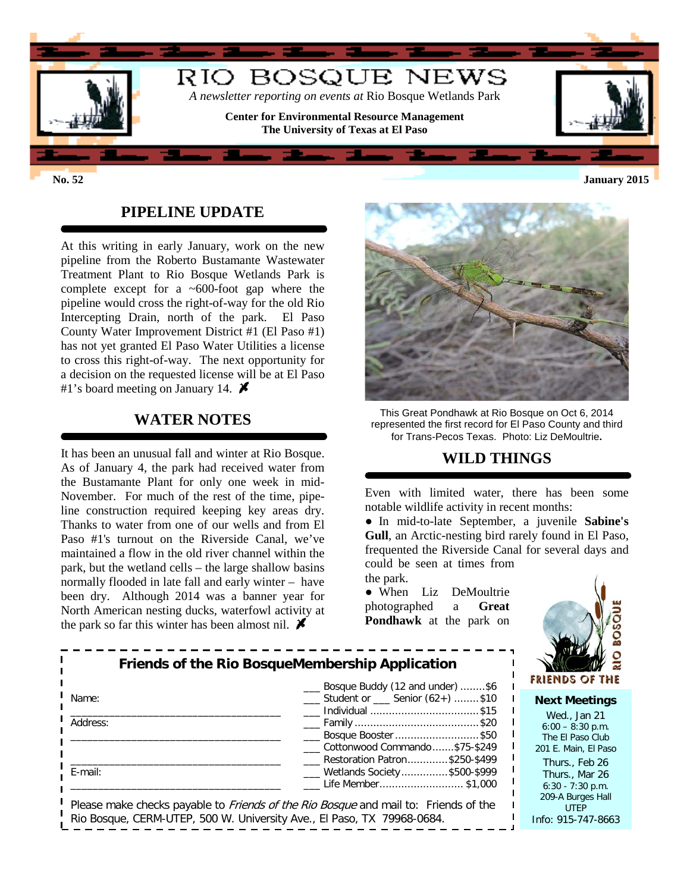

#### **PIPELINE UPDATE**

At this writing in early January, work on the new pipeline from the Roberto Bustamante Wastewater Treatment Plant to Rio Bosque Wetlands Park is complete except for a ~600-foot gap where the pipeline would cross the right-of-way for the old Rio Intercepting Drain, north of the park. El Paso County Water Improvement District #1 (El Paso #1) has not yet granted El Paso Water Utilities a license to cross this right-of-way. The next opportunity for a decision on the requested license will be at El Paso #1's board meeting on January 14.  $\blacktriangleright$ 

#### **WATER NOTES**

It has been an unusual fall and winter at Rio Bosque. As of January 4, the park had received water from the Bustamante Plant for only one week in mid-November. For much of the rest of the time, pipeline construction required keeping key areas dry. Thanks to water from one of our wells and from El Paso #1's turnout on the Riverside Canal, we've maintained a flow in the old river channel within the park, but the wetland cells – the large shallow basins normally flooded in late fall and early winter – have been dry. Although 2014 was a banner year for North American nesting ducks, waterfowl activity at the park so far this winter has been almost nil.  $\blacktriangleright$ 



This Great Pondhawk at Rio Bosque on Oct 6, 2014 represented the first record for El Paso County and third for Trans-Pecos Texas. Photo: Liz DeMoultrie**.**

#### **WILD THINGS**

Even with limited water, there has been some notable wildlife activity in recent months:

● In mid-to-late September, a juvenile **Sabine's Gull**, an Arctic-nesting bird rarely found in El Paso, frequented the Riverside Canal for several days and could be seen at times from

the park. ● When Liz DeMoultrie photographed a **Great Pondhawk** at the park on



| Friends of the Rio BosqueMembership Application                                            | $\overline{\circ}$<br><b>FRIENDS OF THE</b>                                                                        |                                                                                |
|--------------------------------------------------------------------------------------------|--------------------------------------------------------------------------------------------------------------------|--------------------------------------------------------------------------------|
| Name:                                                                                      | Bosque Buddy (12 and under) \$6<br>$\frac{1}{1}$ Student or $\frac{1}{1}$ Senior (62+) \$10<br>___ Individual \$15 | <b>Next Meetings</b>                                                           |
| Address:                                                                                   | ____ Bosque Booster \$50<br>Cottonwood Commando\$75-\$249                                                          | Wed., Jan 21<br>$6:00 - 8:30$ p.m.<br>The El Paso Club                         |
| E-mail:                                                                                    | Restoration Patron\$250-\$499<br>___ Wetlands Society\$500-\$999<br>Life Member\$1,000                             | 201 E. Main, El Paso<br>Thurs., Feb 26<br>Thurs., Mar 26<br>$6:30 - 7:30$ p.m. |
| Please make checks payable to <i>Friends of the Rio Bosque</i> and mail to: Friends of the | 209-A Burges Hall<br><b>UTEP</b>                                                                                   |                                                                                |

Rio Bosque, CERM-UTEP, 500 W. University Ave., El Paso, TX 79968-0684.

UTEP Info: 915-747-8663